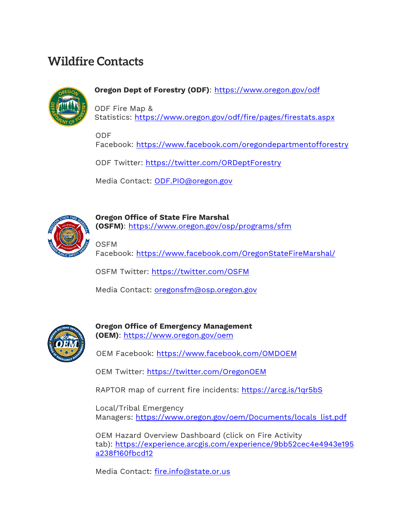## **Wildfire Contacts**



**Oregon Dept of Forestry (ODF)**: <https://www.oregon.gov/odf>

ODF Fire Map & Statistics: <https://www.oregon.gov/odf/fire/pages/firestats.aspx>

ODF

Facebook: <https://www.facebook.com/oregondepartmentofforestry>

ODF Twitter: <https://twitter.com/ORDeptForestry>

Media Contact: [ODF.PIO@oregon.gov](mailto:ODF.PIO@oregon.gov)



**Oregon Office of State Fire Marshal (OSFM)**: <https://www.oregon.gov/osp/programs/sfm>

**OSFM** Facebook: <https://www.facebook.com/OregonStateFireMarshal/>

OSFM Twitter: <https://twitter.com/OSFM>

Media Contact: [oregonsfm@osp.oregon.gov](mailto:oregonsfm@osp.oregon.gov)



**Oregon Office of Emergency Management (OEM)**: <https://www.oregon.gov/oem>

OEM Facebook: <https://www.facebook.com/OMDOEM>

OEM Twitter: <https://twitter.com/OregonOEM>

RAPTOR map of current fire incidents: <https://arcg.is/1qr5bS>

Local/Tribal Emergency Managers: [https://www.oregon.gov/oem/Documents/locals\\_list.pdf](https://www.oregon.gov/oem/Documents/locals_list.pdf)

OEM Hazard Overview Dashboard (click on Fire Activity tab): [https://experience.arcgis.com/experience/9bb52cec4e4943e195](https://experience.arcgis.com/experience/9bb52cec4e4943e195a238f160fbcd12) [a238f160fbcd12](https://experience.arcgis.com/experience/9bb52cec4e4943e195a238f160fbcd12)

Media Contact: [fire.info@state.or.us](mailto:fire.info@state.or.us)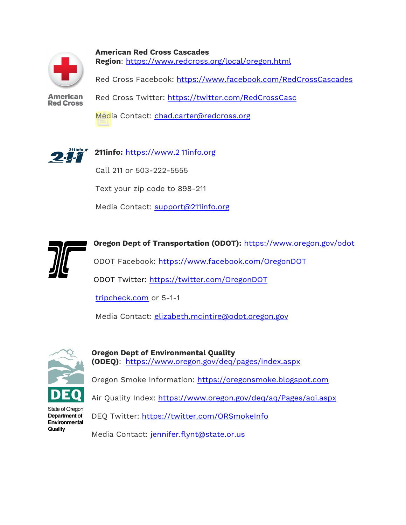

**American Red Cross Cascades Region**: <https://www.redcross.org/local/oregon.html>

Red Cross Facebook: <https://www.facebook.com/RedCrossCascades>

**American Red Cross** 

Red Cross Twitter: <https://twitter.com/RedCrossCasc>

Media Contact: [chad.carter@redcross.org](mailto:chad.carter@redcross.org)



**211info:** [https://www.2](https://www.211info.org/) 11info.org

Call 211 or 503-222-5555

Text your zip code to 898-211

Media Contact: [support@211info.org](mailto:support@211info.org)



**Oregon Dept of Transportation (ODOT):** <https://www.oregon.gov/odot> ODOT Facebook: <https://www.facebook.com/OregonDOT>

ODOT Twitter: <https://twitter.com/OregonDOT>

[tripcheck.com](https://www.tripcheck.com/) or 5-1-1

Media Contact: [elizabeth.mcintire@odot.oregon.gov](mailto:elizabeth.mcintire@odot.oregon.gov)



**Oregon Dept of Environmental Quality (ODEQ)**: <https://www.oregon.gov/deq/pages/index.aspx>

Oregon Smoke Information: [https://oregonsmoke.blogspot.com](https://oregonsmoke.blogspot.com/)

Air Quality Index: <https://www.oregon.gov/deq/aq/Pages/aqi.aspx>

State of Oregon Department of Environmental Quality

DEQ Twitter: <https://twitter.com/ORSmokeInfo> Media Contact: [jennifer.flynt@state.or.us](mailto:jennifer.flynt@state.or.us)